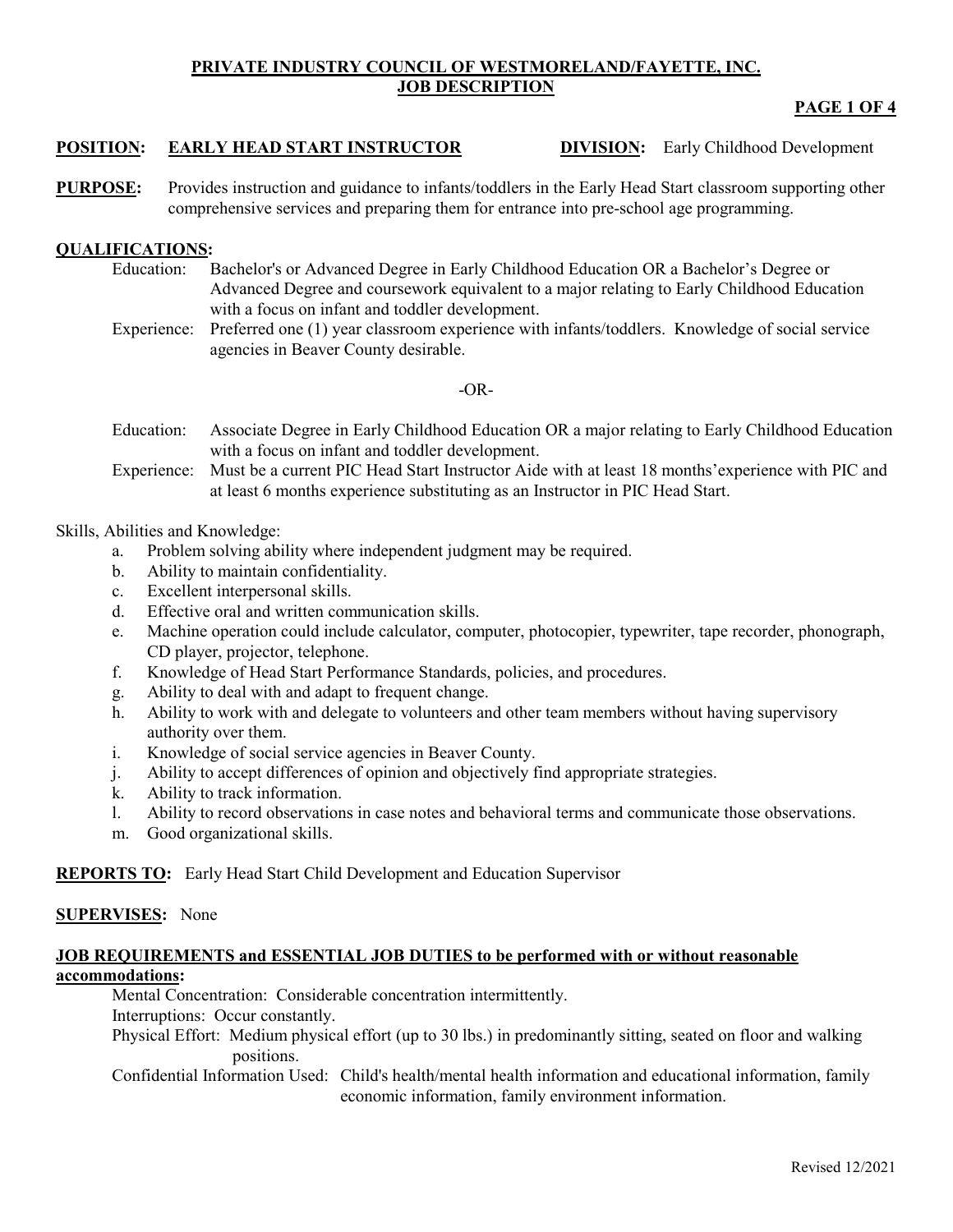#### **PRIVATE INDUSTRY COUNCIL OF WESTMORELAND/FAYETTE, INC. JOB DESCRIPTION**

# **PAGE 1 OF 4**

## **POSITION: EARLY HEAD START INSTRUCTOR DIVISION:** Early Childhood Development

**PURPOSE:** Provides instruction and guidance to infants/toddlers in the Early Head Start classroom supporting other comprehensive services and preparing them for entrance into pre-school age programming.

# **QUALIFICATIONS:**

- Education: Bachelor's or Advanced Degree in Early Childhood Education OR a Bachelor's Degree or Advanced Degree and coursework equivalent to a major relating to Early Childhood Education with a focus on infant and toddler development.
- Experience: Preferred one (1) year classroom experience with infants/toddlers. Knowledge of social service agencies in Beaver County desirable.

#### $-OR-$

- Education: Associate Degree in Early Childhood Education OR a major relating to Early Childhood Education with a focus on infant and toddler development.
- Experience: Must be a current PIC Head Start Instructor Aide with at least 18 months'experience with PIC and at least 6 months experience substituting as an Instructor in PIC Head Start.

### Skills, Abilities and Knowledge:

- a. Problem solving ability where independent judgment may be required.
- b. Ability to maintain confidentiality.
- c. Excellent interpersonal skills.
- d. Effective oral and written communication skills.
- e. Machine operation could include calculator, computer, photocopier, typewriter, tape recorder, phonograph, CD player, projector, telephone.
- f. Knowledge of Head Start Performance Standards, policies, and procedures.
- g. Ability to deal with and adapt to frequent change.
- h. Ability to work with and delegate to volunteers and other team members without having supervisory authority over them.
- i. Knowledge of social service agencies in Beaver County.
- j. Ability to accept differences of opinion and objectively find appropriate strategies.
- k. Ability to track information.
- l. Ability to record observations in case notes and behavioral terms and communicate those observations.
- m. Good organizational skills.

# **REPORTS TO:** Early Head Start Child Development and Education Supervisor

### **SUPERVISES:** None

### **JOB REQUIREMENTS and ESSENTIAL JOB DUTIES to be performed with or without reasonable accommodations:**

Mental Concentration: Considerable concentration intermittently.

Interruptions: Occur constantly.

Physical Effort: Medium physical effort (up to 30 lbs.) in predominantly sitting, seated on floor and walking positions.

Confidential Information Used: Child's health/mental health information and educational information, family economic information, family environment information.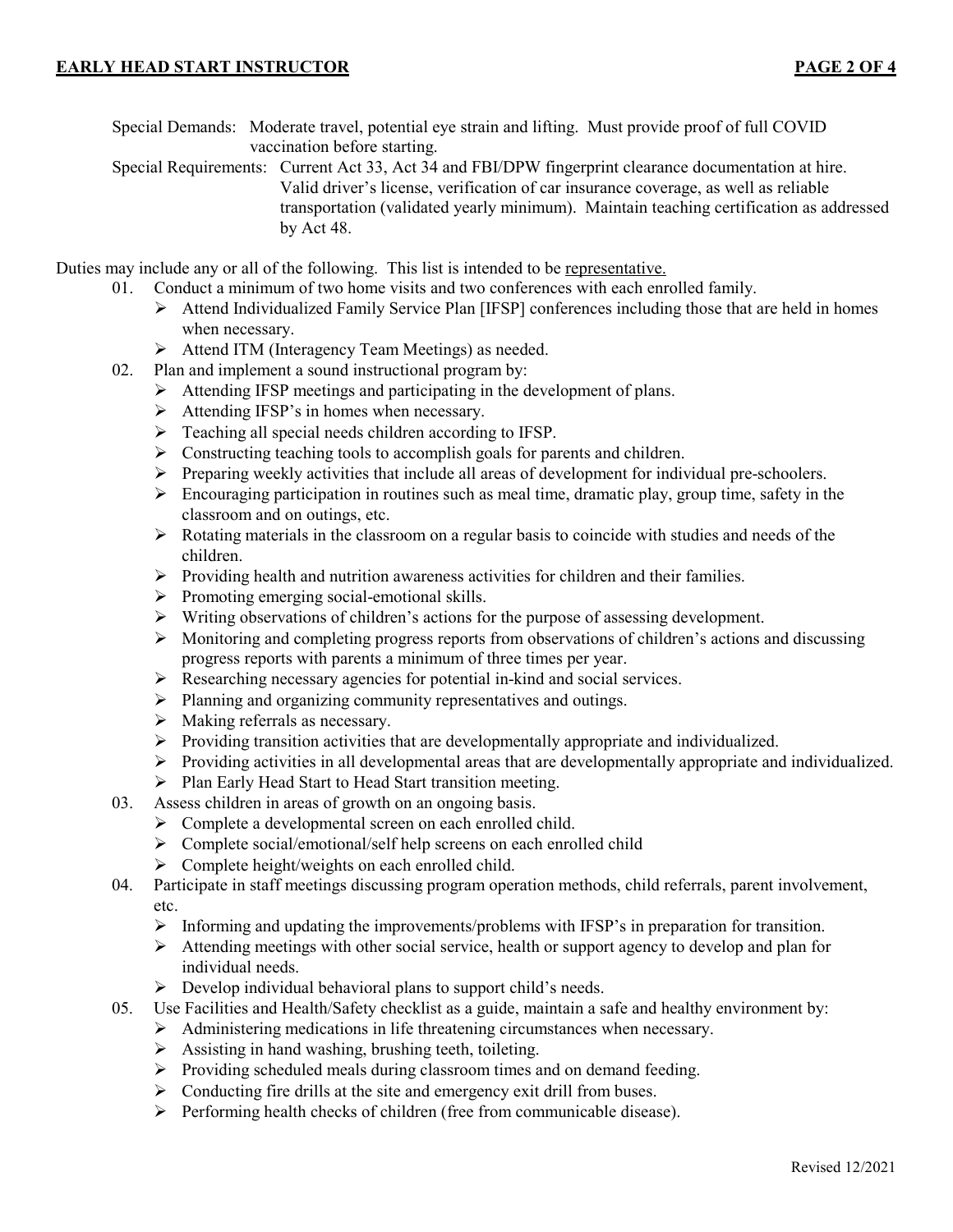Special Demands: Moderate travel, potential eye strain and lifting. Must provide proof of full COVID vaccination before starting.

Special Requirements: Current Act 33, Act 34 and FBI/DPW fingerprint clearance documentation at hire. Valid driver's license, verification of car insurance coverage, as well as reliable transportation (validated yearly minimum). Maintain teaching certification as addressed by Act 48.

Duties may include any or all of the following. This list is intended to be representative.

- 01. Conduct a minimum of two home visits and two conferences with each enrolled family.
	- $\triangleright$  Attend Individualized Family Service Plan [IFSP] conferences including those that are held in homes when necessary.
	- Attend ITM (Interagency Team Meetings) as needed.
- 02. Plan and implement a sound instructional program by:
	- $\triangleright$  Attending IFSP meetings and participating in the development of plans.
	- $\triangleright$  Attending IFSP's in homes when necessary.
	- $\triangleright$  Teaching all special needs children according to IFSP.
	- $\triangleright$  Constructing teaching tools to accomplish goals for parents and children.
	- $\triangleright$  Preparing weekly activities that include all areas of development for individual pre-schoolers.
	- $\triangleright$  Encouraging participation in routines such as meal time, dramatic play, group time, safety in the classroom and on outings, etc.
	- $\triangleright$  Rotating materials in the classroom on a regular basis to coincide with studies and needs of the children.
	- $\triangleright$  Providing health and nutrition awareness activities for children and their families.
	- $\triangleright$  Promoting emerging social-emotional skills.
	- $\triangleright$  Writing observations of children's actions for the purpose of assessing development.
	- $\triangleright$  Monitoring and completing progress reports from observations of children's actions and discussing progress reports with parents a minimum of three times per year.
	- $\triangleright$  Researching necessary agencies for potential in-kind and social services.
	- $\triangleright$  Planning and organizing community representatives and outings.
	- $\triangleright$  Making referrals as necessary.
	- $\triangleright$  Providing transition activities that are developmentally appropriate and individualized.
	- Providing activities in all developmental areas that are developmentally appropriate and individualized.
	- $\triangleright$  Plan Early Head Start to Head Start transition meeting.
- 03. Assess children in areas of growth on an ongoing basis.
	- > Complete a developmental screen on each enrolled child.
	- $\triangleright$  Complete social/emotional/self help screens on each enrolled child
	- $\triangleright$  Complete height/weights on each enrolled child.
- 04. Participate in staff meetings discussing program operation methods, child referrals, parent involvement, etc.
	- $\triangleright$  Informing and updating the improvements/problems with IFSP's in preparation for transition.
	- $\triangleright$  Attending meetings with other social service, health or support agency to develop and plan for individual needs.
	- $\triangleright$  Develop individual behavioral plans to support child's needs.
- 05. Use Facilities and Health/Safety checklist as a guide, maintain a safe and healthy environment by:
	- Administering medications in life threatening circumstances when necessary.
	- $\triangleright$  Assisting in hand washing, brushing teeth, toileting.
	- $\triangleright$  Providing scheduled meals during classroom times and on demand feeding.
	- $\triangleright$  Conducting fire drills at the site and emergency exit drill from buses.
	- $\triangleright$  Performing health checks of children (free from communicable disease).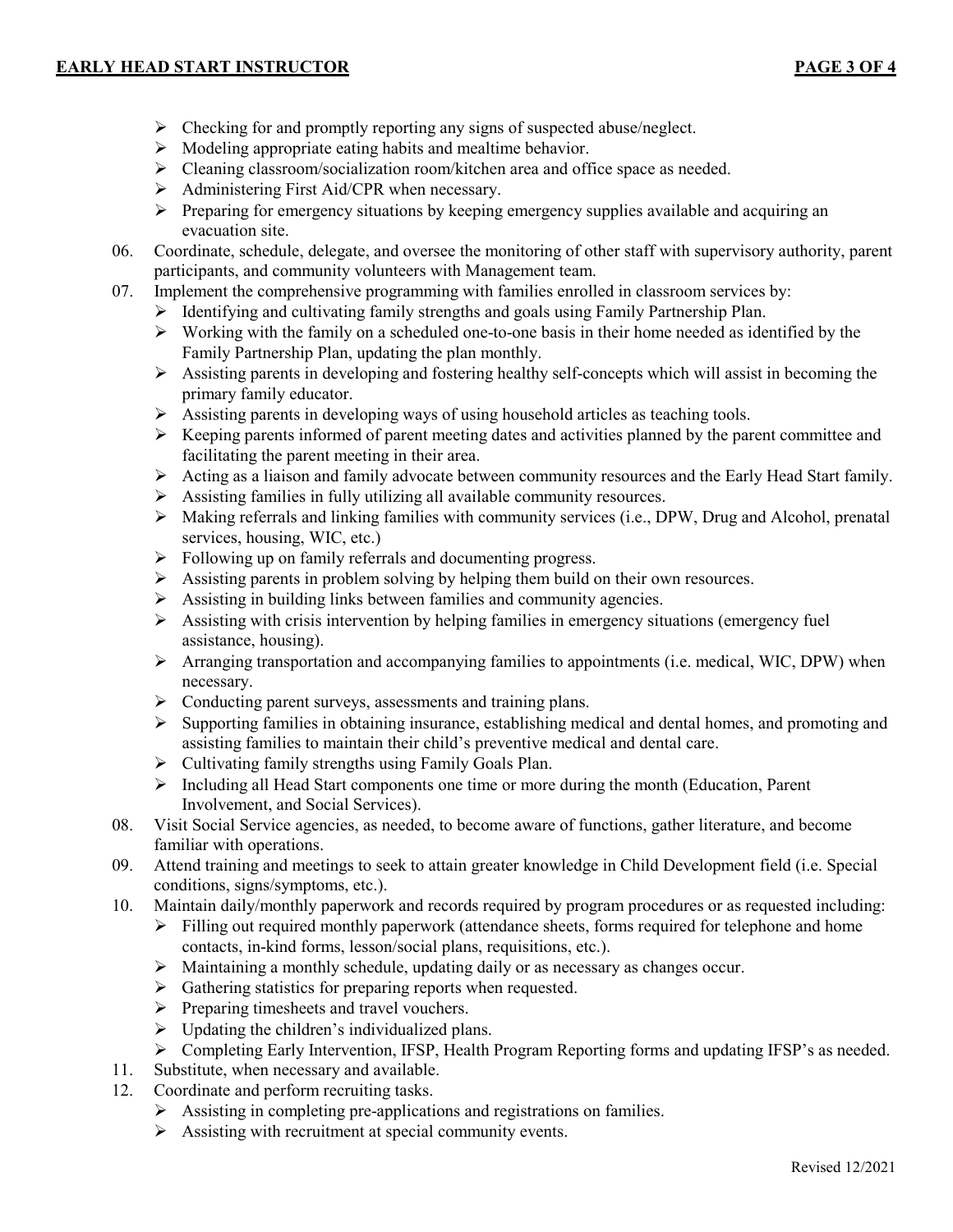#### **EARLY HEAD START INSTRUCTOR PAGE 3 OF 4**

- $\triangleright$  Checking for and promptly reporting any signs of suspected abuse/neglect.
- $\triangleright$  Modeling appropriate eating habits and mealtime behavior.
- Cleaning classroom/socialization room/kitchen area and office space as needed.
- Administering First Aid/CPR when necessary.
- $\triangleright$  Preparing for emergency situations by keeping emergency supplies available and acquiring an evacuation site.
- 06. Coordinate, schedule, delegate, and oversee the monitoring of other staff with supervisory authority, parent participants, and community volunteers with Management team.
- 07. Implement the comprehensive programming with families enrolled in classroom services by:
	- $\triangleright$  Identifying and cultivating family strengths and goals using Family Partnership Plan.
	- $\triangleright$  Working with the family on a scheduled one-to-one basis in their home needed as identified by the Family Partnership Plan, updating the plan monthly.
	- $\triangleright$  Assisting parents in developing and fostering healthy self-concepts which will assist in becoming the primary family educator.
	- $\triangleright$  Assisting parents in developing ways of using household articles as teaching tools.
	- $\triangleright$  Keeping parents informed of parent meeting dates and activities planned by the parent committee and facilitating the parent meeting in their area.
	- $\triangleright$  Acting as a liaison and family advocate between community resources and the Early Head Start family.
	- Assisting families in fully utilizing all available community resources.
	- $\triangleright$  Making referrals and linking families with community services (i.e., DPW, Drug and Alcohol, prenatal services, housing, WIC, etc.)
	- $\triangleright$  Following up on family referrals and documenting progress.
	- Assisting parents in problem solving by helping them build on their own resources.
	- $\triangleright$  Assisting in building links between families and community agencies.
	- $\triangleright$  Assisting with crisis intervention by helping families in emergency situations (emergency fuel assistance, housing).
	- $\triangleright$  Arranging transportation and accompanying families to appointments (i.e. medical, WIC, DPW) when necessary.
	- > Conducting parent surveys, assessments and training plans.
	- $\triangleright$  Supporting families in obtaining insurance, establishing medical and dental homes, and promoting and assisting families to maintain their child's preventive medical and dental care.
	- $\triangleright$  Cultivating family strengths using Family Goals Plan.
	- $\triangleright$  Including all Head Start components one time or more during the month (Education, Parent Involvement, and Social Services).
- 08. Visit Social Service agencies, as needed, to become aware of functions, gather literature, and become familiar with operations.
- 09. Attend training and meetings to seek to attain greater knowledge in Child Development field (i.e. Special conditions, signs/symptoms, etc.).
- 10. Maintain daily/monthly paperwork and records required by program procedures or as requested including:
	- $\triangleright$  Filling out required monthly paperwork (attendance sheets, forms required for telephone and home contacts, in-kind forms, lesson/social plans, requisitions, etc.).
	- Maintaining a monthly schedule, updating daily or as necessary as changes occur.
	- $\triangleright$  Gathering statistics for preparing reports when requested.
	- $\triangleright$  Preparing timesheets and travel vouchers.
	- $\triangleright$  Updating the children's individualized plans.
	- $\triangleright$  Completing Early Intervention, IFSP, Health Program Reporting forms and updating IFSP's as needed.
- 11. Substitute, when necessary and available.
- 12. Coordinate and perform recruiting tasks.
	- $\triangleright$  Assisting in completing pre-applications and registrations on families.
	- $\triangleright$  Assisting with recruitment at special community events.